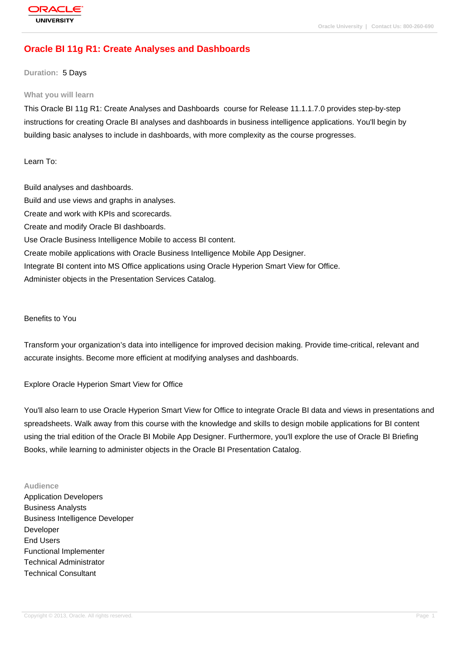# **[Oracle BI 11g R](http://education.oracle.com/pls/web_prod-plq-dad/db_pages.getpage?page_id=3)1: Create Analyses and Dashboards**

#### **Duration:** 5 Days

#### **What you will learn**

This Oracle BI 11g R1: Create Analyses and Dashboards course for Release 11.1.1.7.0 provides step-by-step instructions for creating Oracle BI analyses and dashboards in business intelligence applications. You'll begin by building basic analyses to include in dashboards, with more complexity as the course progresses.

Learn To:

Build analyses and dashboards. Build and use views and graphs in analyses. Create and work with KPIs and scorecards. Create and modify Oracle BI dashboards. Use Oracle Business Intelligence Mobile to access BI content. Create mobile applications with Oracle Business Intelligence Mobile App Designer. Integrate BI content into MS Office applications using Oracle Hyperion Smart View for Office. Administer objects in the Presentation Services Catalog.

Benefits to You

Transform your organization's data into intelligence for improved decision making. Provide time-critical, relevant and accurate insights. Become more efficient at modifying analyses and dashboards.

Explore Oracle Hyperion Smart View for Office

You'll also learn to use Oracle Hyperion Smart View for Office to integrate Oracle BI data and views in presentations and spreadsheets. Walk away from this course with the knowledge and skills to design mobile applications for BI content using the trial edition of the Oracle BI Mobile App Designer. Furthermore, you'll explore the use of Oracle BI Briefing Books, while learning to administer objects in the Oracle BI Presentation Catalog.

#### **Audience**

Application Developers Business Analysts Business Intelligence Developer Developer End Users Functional Implementer Technical Administrator Technical Consultant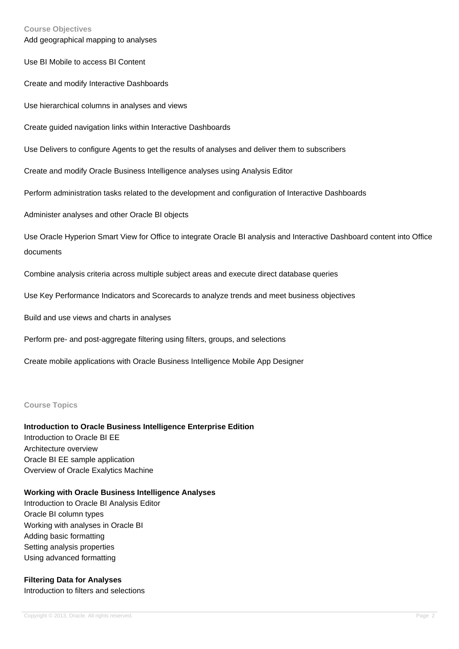#### **Course Objectives**

Add geographical mapping to analyses

Use BI Mobile to access BI Content

Create and modify Interactive Dashboards

Use hierarchical columns in analyses and views

Create guided navigation links within Interactive Dashboards

Use Delivers to configure Agents to get the results of analyses and deliver them to subscribers

Create and modify Oracle Business Intelligence analyses using Analysis Editor

Perform administration tasks related to the development and configuration of Interactive Dashboards

Administer analyses and other Oracle BI objects

Use Oracle Hyperion Smart View for Office to integrate Oracle BI analysis and Interactive Dashboard content into Office documents

Combine analysis criteria across multiple subject areas and execute direct database queries

Use Key Performance Indicators and Scorecards to analyze trends and meet business objectives

Build and use views and charts in analyses

Perform pre- and post-aggregate filtering using filters, groups, and selections

Create mobile applications with Oracle Business Intelligence Mobile App Designer

#### **Course Topics**

#### **Introduction to Oracle Business Intelligence Enterprise Edition**

Introduction to Oracle BI EE Architecture overview Oracle BI EE sample application Overview of Oracle Exalytics Machine

#### **Working with Oracle Business Intelligence Analyses**

Introduction to Oracle BI Analysis Editor Oracle BI column types Working with analyses in Oracle BI Adding basic formatting Setting analysis properties Using advanced formatting

#### **Filtering Data for Analyses**

Introduction to filters and selections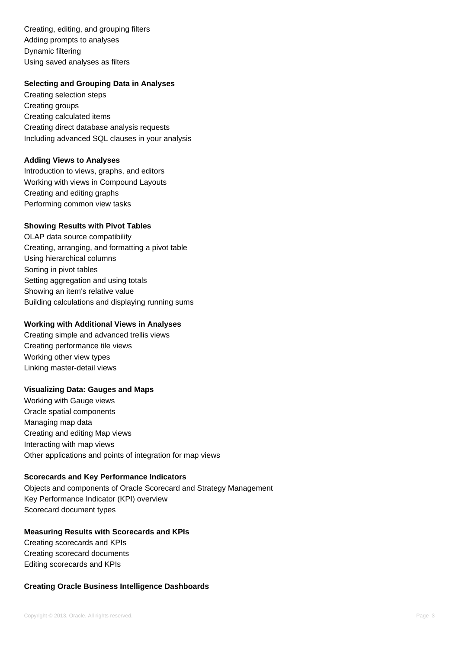Creating, editing, and grouping filters Adding prompts to analyses Dynamic filtering Using saved analyses as filters

### **Selecting and Grouping Data in Analyses**

Creating selection steps Creating groups Creating calculated items Creating direct database analysis requests Including advanced SQL clauses in your analysis

#### **Adding Views to Analyses**

Introduction to views, graphs, and editors Working with views in Compound Layouts Creating and editing graphs Performing common view tasks

### **Showing Results with Pivot Tables**

OLAP data source compatibility Creating, arranging, and formatting a pivot table Using hierarchical columns Sorting in pivot tables Setting aggregation and using totals Showing an item's relative value Building calculations and displaying running sums

### **Working with Additional Views in Analyses**

Creating simple and advanced trellis views Creating performance tile views Working other view types Linking master-detail views

## **Visualizing Data: Gauges and Maps**

Working with Gauge views Oracle spatial components Managing map data Creating and editing Map views Interacting with map views Other applications and points of integration for map views

## **Scorecards and Key Performance Indicators**

Objects and components of Oracle Scorecard and Strategy Management Key Performance Indicator (KPI) overview Scorecard document types

#### **Measuring Results with Scorecards and KPIs**

Creating scorecards and KPIs Creating scorecard documents Editing scorecards and KPIs

#### **Creating Oracle Business Intelligence Dashboards**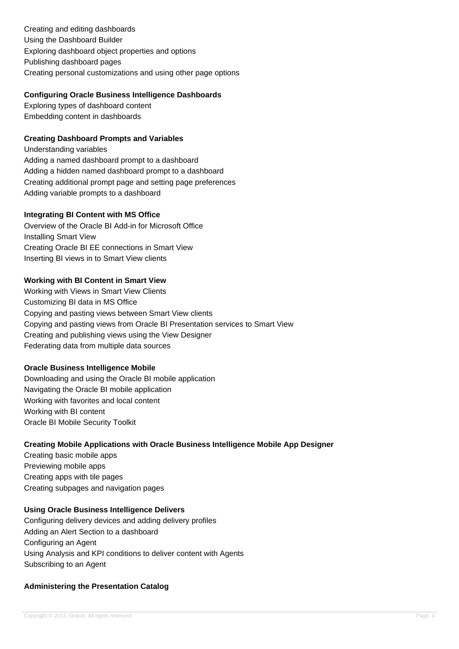Creating and editing dashboards Using the Dashboard Builder Exploring dashboard object properties and options Publishing dashboard pages Creating personal customizations and using other page options

### **Configuring Oracle Business Intelligence Dashboards**

Exploring types of dashboard content Embedding content in dashboards

## **Creating Dashboard Prompts and Variables**

Understanding variables Adding a named dashboard prompt to a dashboard Adding a hidden named dashboard prompt to a dashboard Creating additional prompt page and setting page preferences Adding variable prompts to a dashboard

### **Integrating BI Content with MS Office**

Overview of the Oracle BI Add-in for Microsoft Office Installing Smart View Creating Oracle BI EE connections in Smart View Inserting BI views in to Smart View clients

## **Working with BI Content in Smart View**

Working with Views in Smart View Clients Customizing BI data in MS Office Copying and pasting views between Smart View clients Copying and pasting views from Oracle BI Presentation services to Smart View Creating and publishing views using the View Designer Federating data from multiple data sources

## **Oracle Business Intelligence Mobile**

Downloading and using the Oracle BI mobile application Navigating the Oracle BI mobile application Working with favorites and local content Working with BI content Oracle BI Mobile Security Toolkit

## **Creating Mobile Applications with Oracle Business Intelligence Mobile App Designer**

Creating basic mobile apps Previewing mobile apps Creating apps with tile pages Creating subpages and navigation pages

#### **Using Oracle Business Intelligence Delivers**

Configuring delivery devices and adding delivery profiles Adding an Alert Section to a dashboard Configuring an Agent Using Analysis and KPI conditions to deliver content with Agents Subscribing to an Agent

## **Administering the Presentation Catalog**